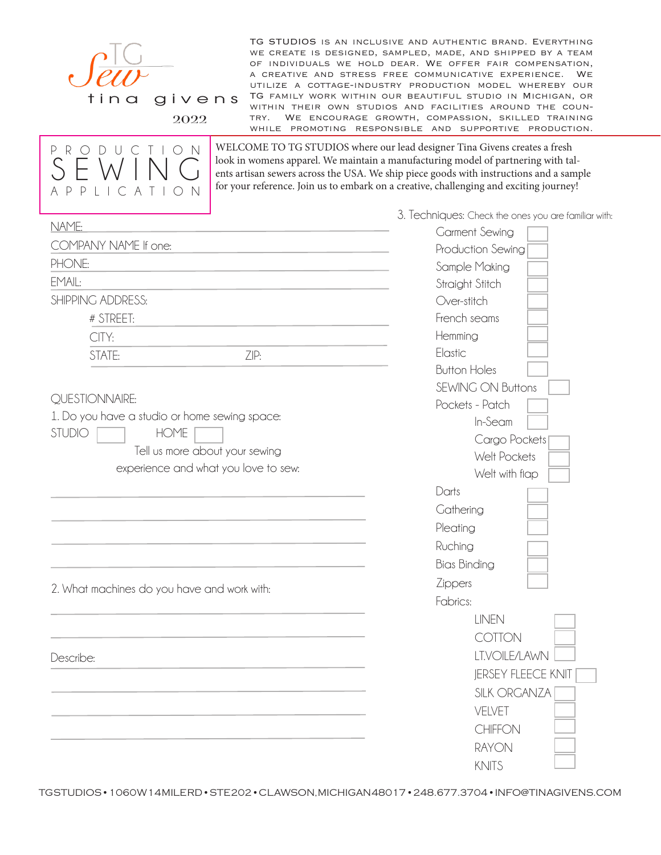

TG STUDIOS is an inclusive and authentic brand. Everything we create is designed, sampled, made, and shipped by a team of individuals we hold dear. We offer fair compensation, a creative and stress free communicative experience. We utilize a cottage-industry production model whereby our TG family work within our beautiful studio in Michigan, or within their own studios and facilities around the country. We encourage growth, compassion, skilled training while promoting responsible and supportive production.

2022



WELCOME TO TG STUDIOS where our lead designer Tina Givens creates a fresh look in womens apparel. We maintain a manufacturing model of partnering with talents artisan sewers across the USA. We ship piece goods with instructions and a sample for your reference. Join us to embark on a creative, challenging and exciting journey!

3. Techniques: Check the ones you are familiar with:

|                                               | 3. Iechniques: Check the ones you are familiar with |
|-----------------------------------------------|-----------------------------------------------------|
| NAME:                                         | <b>Garment Sewing</b>                               |
| COMPANY NAME If one:                          | Production Sewing                                   |
| PHONE:                                        | Sample Making                                       |
| EMAIL:                                        | Straight Stitch                                     |
| SHIPPING ADDRESS:                             | Over-stitch                                         |
| # STREET:                                     | French seams                                        |
| CITY:                                         | Hemming                                             |
| STATE:<br>ZIP:                                | Elastic                                             |
|                                               | <b>Button Holes</b>                                 |
|                                               | <b>SEWING ON Buttons</b>                            |
| QUESTIONNAIRE:                                | Pockets - Patch                                     |
| 1. Do you have a studio or home sewing space: | In-Seam                                             |
| <b>STUDIO</b><br><b>HOME</b>                  | Cargo Pockets                                       |
| Tell us more about your sewing                | Welt Pockets                                        |
| experience and what you love to sew:          | Welt with flap                                      |
|                                               | Darts                                               |
|                                               | Gathering                                           |
|                                               | Pleating                                            |
|                                               | Ruching                                             |
|                                               | <b>Bias Binding</b>                                 |
|                                               | Zippers                                             |
| 2. What machines do you have and work with:   | Fabrics:                                            |
|                                               | <b>LINEN</b>                                        |
|                                               | <b>COTTON</b>                                       |
| Describe:                                     | LT.VOILE/LAWN                                       |
|                                               | <b>JERSEY FLEECE KNIT</b>                           |
|                                               | <b>SILK ORGANZA</b>                                 |
|                                               |                                                     |
|                                               |                                                     |
|                                               |                                                     |
|                                               |                                                     |
|                                               | VELVET<br>CHIFFON<br><b>RAYON</b><br><b>KNITS</b>   |

TG STUDIOS • 1060 W 14 MILE RD • STE 202 • CLAWSON, MICHIGAN 48017 • 248.677.3704 • INFO@TINAGIVENS.COM